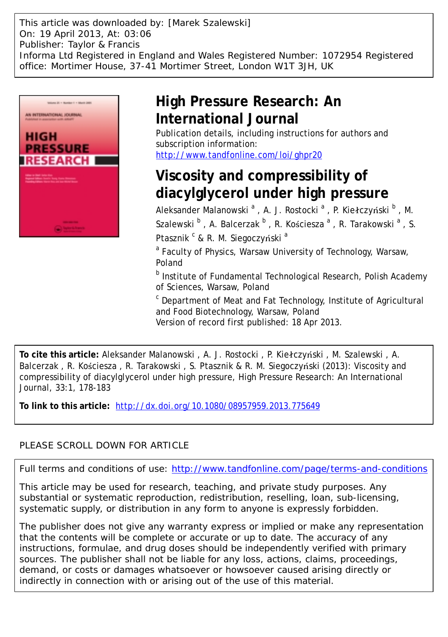This article was downloaded by: [Marek Szalewski] On: 19 April 2013, At: 03:06 Publisher: Taylor & Francis Informa Ltd Registered in England and Wales Registered Number: 1072954 Registered office: Mortimer House, 37-41 Mortimer Street, London W1T 3JH, UK



## **High Pressure Research: An International Journal**

Publication details, including instructions for authors and subscription information: <http://www.tandfonline.com/loi/ghpr20>

# **Viscosity and compressibility of diacylglycerol under high pressure**

Aleksander Malanowski <sup>a</sup> , A. J. Rostocki <sup>a</sup> , P. Kiełczyński <sup>b</sup> , M. Szalewski  $^{\text{b}}$  , A. Balcerzak  $^{\text{b}}$  , R. Kościesza  $^{\text{a}}$  , R. Tarakowski  $^{\text{a}}$  , S. Ptasznik <sup>c</sup> & R. M. Siegoczyński <sup>a</sup>

<sup>a</sup> Faculty of Physics, Warsaw University of Technology, Warsaw, Poland

<sup>b</sup> Institute of Fundamental Technological Research, Polish Academy of Sciences, Warsaw, Poland

<sup>c</sup> Department of Meat and Fat Technology, Institute of Agricultural and Food Biotechnology, Warsaw, Poland Version of record first published: 18 Apr 2013.

**To cite this article:** Aleksander Malanowski , A. J. Rostocki , P. Kiełczyński , M. Szalewski , A. Balcerzak , R. Kościesza , R. Tarakowski , S. Ptasznik & R. M. Siegoczyński (2013): Viscosity and compressibility of diacylglycerol under high pressure, High Pressure Research: An International Journal, 33:1, 178-183

**To link to this article:** <http://dx.doi.org/10.1080/08957959.2013.775649>

### PLEASE SCROLL DOWN FOR ARTICLE

Full terms and conditions of use:<http://www.tandfonline.com/page/terms-and-conditions>

This article may be used for research, teaching, and private study purposes. Any substantial or systematic reproduction, redistribution, reselling, loan, sub-licensing, systematic supply, or distribution in any form to anyone is expressly forbidden.

The publisher does not give any warranty express or implied or make any representation that the contents will be complete or accurate or up to date. The accuracy of any instructions, formulae, and drug doses should be independently verified with primary sources. The publisher shall not be liable for any loss, actions, claims, proceedings, demand, or costs or damages whatsoever or howsoever caused arising directly or indirectly in connection with or arising out of the use of this material.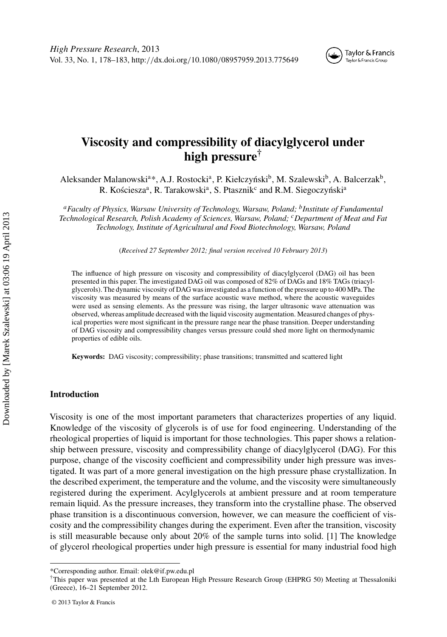

### **Viscosity and compressibility of diacylglycerol under high pressure†**

Aleksander Malanowski<sup>a\*</sup>, A.J. Rostocki<sup>a</sup>, P. Kiełczyński<sup>b</sup>, M. Szalewski<sup>b</sup>, A. Balcerzak<sup>b</sup>, R. Kościesza<sup>a</sup>, R. Tarakowski<sup>a</sup>, S. Ptasznik<sup>c</sup> and R.M. Siegoczyński<sup>a</sup>

*aFaculty of Physics, Warsaw University of Technology, Warsaw, Poland; bInstitute of Fundamental Technological Research, Polish Academy of Sciences, Warsaw, Poland; cDepartment of Meat and Fat Technology, Institute of Agricultural and Food Biotechnology, Warsaw, Poland*

(*Received 27 September 2012; final version received 10 February 2013*)

The influence of high pressure on viscosity and compressibility of diacylglycerol (DAG) oil has been presented in this paper. The investigated DAG oil was composed of 82% of DAGs and 18% TAGs (triacylglycerols). The dynamic viscosity of DAG was investigated as a function of the pressure up to 400 MPa. The viscosity was measured by means of the surface acoustic wave method, where the acoustic waveguides were used as sensing elements. As the pressure was rising, the larger ultrasonic wave attenuation was observed, whereas amplitude decreased with the liquid viscosity augmentation. Measured changes of physical properties were most significant in the pressure range near the phase transition. Deeper understanding of DAG viscosity and compressibility changes versus pressure could shed more light on thermodynamic properties of edible oils.

**Keywords:** DAG viscosity; compressibility; phase transitions; transmitted and scattered light

#### **Introduction**

Viscosity is one of the most important parameters that characterizes properties of any liquid. Knowledge of the viscosity of glycerols is of use for food engineering. Understanding of the rheological properties of liquid is important for those technologies. This paper shows a relationship between pressure, viscosity and compressibility change of diacylglycerol (DAG). For this purpose, change of the viscosity coefficient and compressibility under high pressure was investigated. It was part of a more general investigation on the high pressure phase crystallization. In the described experiment, the temperature and the volume, and the viscosity were simultaneously registered during the experiment. Acylglycerols at ambient pressure and at room temperature remain liquid. As the pressure increases, they transform into the crystalline phase. The observed phase transition is a discontinuous conversion, however, we can measure the coefficient of viscosity and the compressibility changes during the experiment. Even after the transition, viscosity is still measurable because only about 20% of the sample turns into solid. [1] The knowledge of glycerol rheological properties under high pressure is essential for many industrial food high

<sup>\*</sup>Corresponding author. Email: olek@if.pw.edu.pl

<sup>†</sup>This paper was presented at the Lth European High Pressure Research Group (EHPRG 50) Meeting at Thessaloniki (Greece), 16–21 September 2012.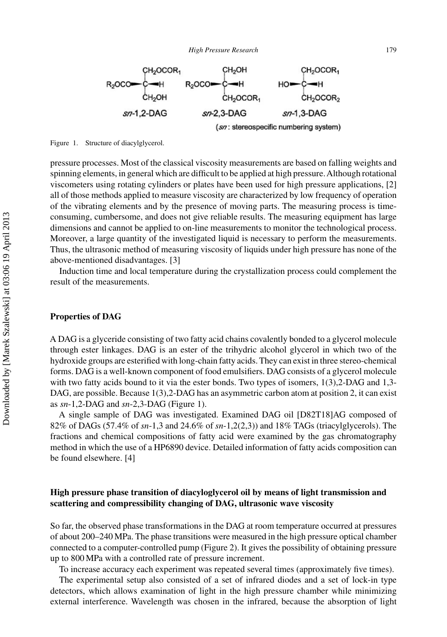

Figure 1. Structure of diacylglycerol.

pressure processes. Most of the classical viscosity measurements are based on falling weights and spinning elements, in general which are difficult to be applied at high pressure.Although rotational viscometers using rotating cylinders or plates have been used for high pressure applications, [2] all of those methods applied to measure viscosity are characterized by low frequency of operation of the vibrating elements and by the presence of moving parts. The measuring process is timeconsuming, cumbersome, and does not give reliable results. The measuring equipment has large dimensions and cannot be applied to on-line measurements to monitor the technological process. Moreover, a large quantity of the investigated liquid is necessary to perform the measurements. Thus, the ultrasonic method of measuring viscosity of liquids under high pressure has none of the above-mentioned disadvantages. [3]

Induction time and local temperature during the crystallization process could complement the result of the measurements.

#### **Properties of DAG**

A DAG is a glyceride consisting of two fatty acid chains covalently bonded to a glycerol molecule through ester linkages. DAG is an ester of the trihydric alcohol glycerol in which two of the hydroxide groups are esterified with long-chain fatty acids. They can exist in three stereo-chemical forms. DAG is a well-known component of food emulsifiers. DAG consists of a glycerol molecule with two fatty acids bound to it via the ester bonds. Two types of isomers, 1(3),2-DAG and 1,3-DAG, are possible. Because 1(3),2-DAG has an asymmetric carbon atom at position 2, it can exist as *sn*-1,2-DAG and *sn*-2,3-DAG (Figure 1).

A single sample of DAG was investigated. Examined DAG oil [D82T18]AG composed of 82% of DAGs (57.4% of *sn*-1,3 and 24.6% of *sn*-1,2(2,3)) and 18% TAGs (triacylglycerols). The fractions and chemical compositions of fatty acid were examined by the gas chromatography method in which the use of a HP6890 device. Detailed information of fatty acids composition can be found elsewhere. [4]

#### **High pressure phase transition of diacyloglycerol oil by means of light transmission and scattering and compressibility changing of DAG, ultrasonic wave viscosity**

So far, the observed phase transformations in the DAG at room temperature occurred at pressures of about 200–240 MPa. The phase transitions were measured in the high pressure optical chamber connected to a computer-controlled pump (Figure 2). It gives the possibility of obtaining pressure up to 800 MPa with a controlled rate of pressure increment.

To increase accuracy each experiment was repeated several times (approximately five times).

The experimental setup also consisted of a set of infrared diodes and a set of lock-in type detectors, which allows examination of light in the high pressure chamber while minimizing external interference. Wavelength was chosen in the infrared, because the absorption of light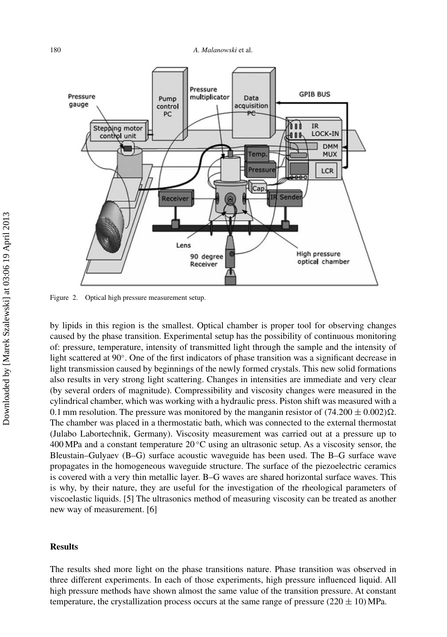

Figure 2. Optical high pressure measurement setup.

by lipids in this region is the smallest. Optical chamber is proper tool for observing changes caused by the phase transition. Experimental setup has the possibility of continuous monitoring of: pressure, temperature, intensity of transmitted light through the sample and the intensity of light scattered at 90◦. One of the first indicators of phase transition was a significant decrease in light transmission caused by beginnings of the newly formed crystals. This new solid formations also results in very strong light scattering. Changes in intensities are immediate and very clear (by several orders of magnitude). Compressibility and viscosity changes were measured in the cylindrical chamber, which was working with a hydraulic press. Piston shift was measured with a 0.1 mm resolution. The pressure was monitored by the manganin resistor of  $(74.200 \pm 0.002)\Omega$ . The chamber was placed in a thermostatic bath, which was connected to the external thermostat (Julabo Labortechnik, Germany). Viscosity measurement was carried out at a pressure up to 400 MPa and a constant temperature  $20^{\circ}$ C using an ultrasonic setup. As a viscosity sensor, the Bleustain–Gulyaev (B–G) surface acoustic waveguide has been used. The B–G surface wave propagates in the homogeneous waveguide structure. The surface of the piezoelectric ceramics is covered with a very thin metallic layer. B–G waves are shared horizontal surface waves. This is why, by their nature, they are useful for the investigation of the rheological parameters of viscoelastic liquids. [5] The ultrasonics method of measuring viscosity can be treated as another new way of measurement. [6]

#### **Results**

The results shed more light on the phase transitions nature. Phase transition was observed in three different experiments. In each of those experiments, high pressure influenced liquid. All high pressure methods have shown almost the same value of the transition pressure. At constant temperature, the crystallization process occurs at the same range of pressure  $(220 \pm 10)$  MPa.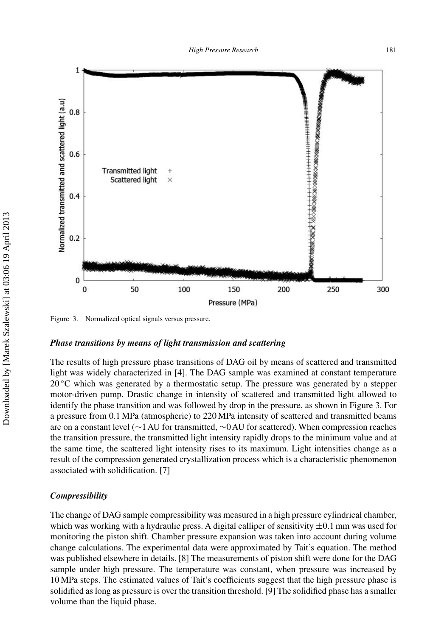

Figure 3. Normalized optical signals versus pressure.

#### *Phase transitions by means of light transmission and scattering*

The results of high pressure phase transitions of DAG oil by means of scattered and transmitted light was widely characterized in [4]. The DAG sample was examined at constant temperature  $20^{\circ}$ C which was generated by a thermostatic setup. The pressure was generated by a stepper motor-driven pump. Drastic change in intensity of scattered and transmitted light allowed to identify the phase transition and was followed by drop in the pressure, as shown in Figure 3. For a pressure from 0.1 MPa (atmospheric) to 220 MPa intensity of scattered and transmitted beams are on a constant level (∼1AU for transmitted, ∼0AU for scattered). When compression reaches the transition pressure, the transmitted light intensity rapidly drops to the minimum value and at the same time, the scattered light intensity rises to its maximum. Light intensities change as a result of the compression generated crystallization process which is a characteristic phenomenon associated with solidification. [7]

#### *Compressibility*

The change of DAG sample compressibility was measured in a high pressure cylindrical chamber, which was working with a hydraulic press. A digital calliper of sensitivity  $\pm 0.1$  mm was used for monitoring the piston shift. Chamber pressure expansion was taken into account during volume change calculations. The experimental data were approximated by Tait's equation. The method was published elsewhere in details. [8] The measurements of piston shift were done for the DAG sample under high pressure. The temperature was constant, when pressure was increased by 10 MPa steps. The estimated values of Tait's coefficients suggest that the high pressure phase is solidified as long as pressure is over the transition threshold. [9] The solidified phase has a smaller volume than the liquid phase.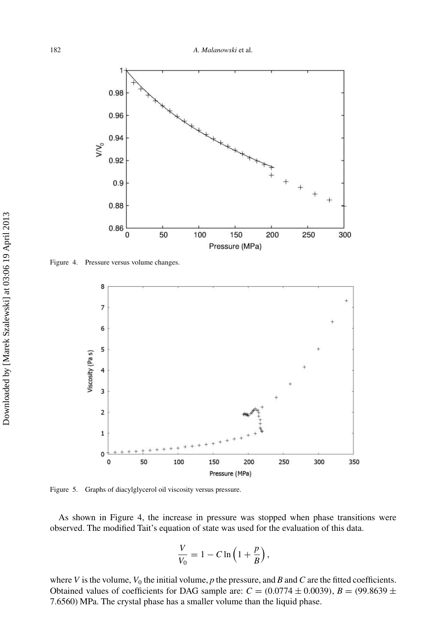

Figure 4. Pressure versus volume changes.



Figure 5. Graphs of diacylglycerol oil viscosity versus pressure.

As shown in Figure 4, the increase in pressure was stopped when phase transitions were observed. The modified Tait's equation of state was used for the evaluation of this data.

$$
\frac{V}{V_0} = 1 - C \ln\left(1 + \frac{p}{B}\right),\,
$$

where *V* is the volume,  $V_0$  the initial volume, *p* the pressure, and *B* and *C* are the fitted coefficients. Obtained values of coefficients for DAG sample are:  $C = (0.0774 \pm 0.0039)$ ,  $B = (99.8639 \pm 0.0039)$ 7.6560*)* MPa. The crystal phase has a smaller volume than the liquid phase.